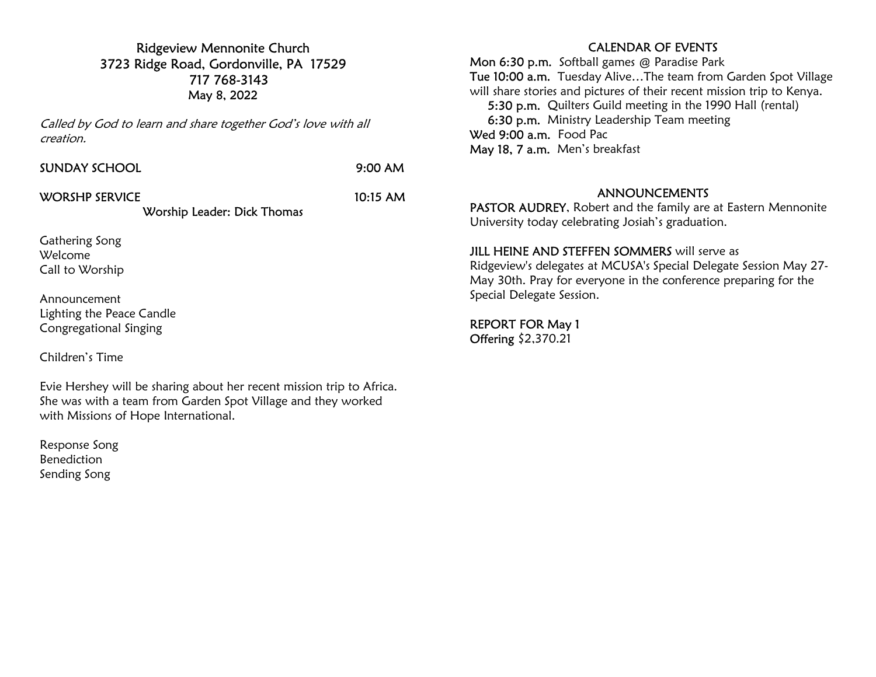Ridgeview Mennonite Church 3723 Ridge Road, Gordonville, PA 17529 717 768-3143 May 8, 2022

Called by God to learn and share together God's love with all creation.

| SUNDAY SCHOOL  | 9:00 AM              |
|----------------|----------------------|
| WORSHP SERVICE | $10:15 \, \text{AM}$ |

## Worship Leader: Dick Thomas

Gathering Song Welcome Call to Worship

Announcement Lighting the Peace Candle Congregational Singing

Children's Time

Evie Hershey will be sharing about her recent mission trip to Africa. She was with a team from Garden Spot Village and they worked with Missions of Hope International.

Response Song Benediction Sending Song

### CALENDAR OF EVENTS

Mon 6:30 p.m. Softball games @ Paradise Park Tue 10:00 a.m. Tuesday Alive…The team from Garden Spot Village will share stories and pictures of their recent mission trip to Kenya. 5:30 p.m. Quilters Guild meeting in the 1990 Hall (rental) 6:30 p.m. Ministry Leadership Team meeting Wed 9:00 a.m. Food Pac May 18, 7 a.m. Men's breakfast

#### ANNOUNCEMENTS

PASTOR AUDREY, Robert and the family are at Eastern Mennonite University today celebrating Josiah's graduation.

#### **JILL HEINE AND STEFFEN SOMMERS** will serve as

Ridgeview's delegates at MCUSA's Special Delegate Session May 27- May 30th. Pray for everyone in the conference preparing for the Special Delegate Session.

REPORT FOR May 1 Offering \$2,370.21